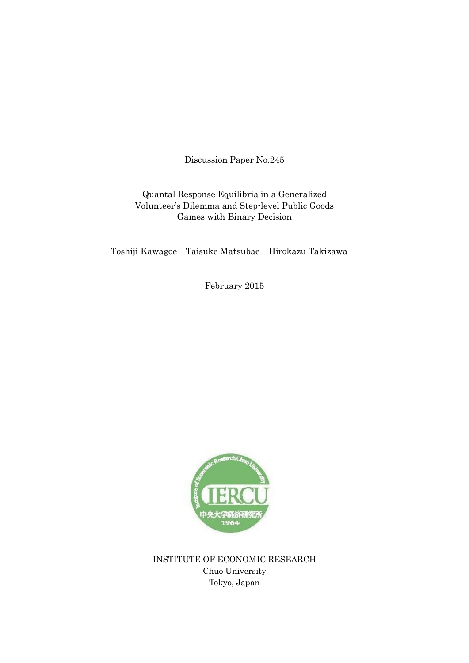Discussion Paper No.245

## Quantal Response Equilibria in a Generalized Volunteer's Dilemma and Step-level Public Goods Games with Binary Decision

Toshiji Kawagoe Taisuke Matsubae Hirokazu Takizawa

February 2015



INSTITUTE OF ECONOMIC RESEARCH Chuo University Tokyo, Japan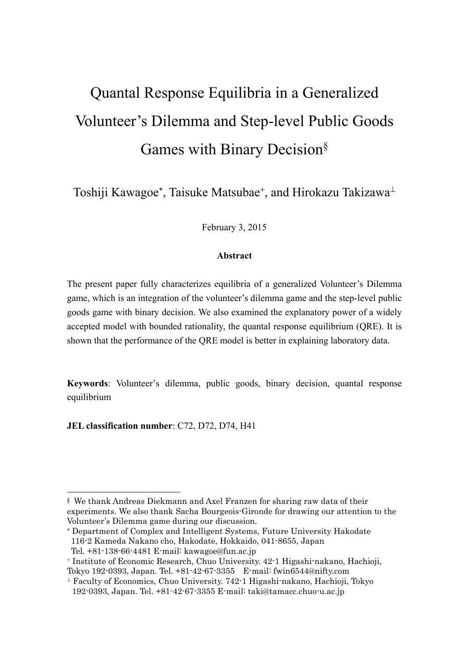# Quantal Response Equilibria in a Generalized Volunteer's Dilemma and Step-level Public Goods Games with Binary Decision§

Toshiji Kawagoe\*, Taisuke Matsubae<sup>+</sup>, and Hirokazu Takizawa<sup>⊥</sup>

February 3, 2015

# **Abstract**

The present paper fully characterizes equilibria of a generalized Volunteer's Dilemma game, which is an integration of the volunteer's dilemma game and the step-level public goods game with binary decision. We also examined the explanatory power of a widely accepted model with bounded rationality, the quantal response equilibrium (QRE). It is shown that the performance of the QRE model is better in explaining laboratory data.

**Keywords**: Volunteer's dilemma, public goods, binary decision, quantal response equilibrium

**JEL classification number**: C72, D72, D74, H41

 Department of Complex and Intelligent Systems, Future University Hakodate 116-2 Kameda Nakano cho, Hakodate, Hokkaido, 041-8655, Japan

-

<sup>§</sup> We thank Andreas Diekmann and Axel Franzen for sharing raw data of their experiments. We also thank Sacha Bourgeois-Gironde for drawing our attention to the Volunteer's Dilemma game during our discussion.

Tel. +81-138-66-4481 E-mail: kawagoe@fun.ac.jp

Institute of Economic Research, Chuo University. 42-1 Higashi-nakano, Hachioji, Tokyo 192-0393, Japan. Tel. +81-42-67-3355 E-mail: fwin6544@nifty.com

 $\perp$  Faculty of Economics, Chuo University. 742-1 Higashi-nakano, Hachioji, Tokyo 192-0393, Japan. Tel. +81-42-67-3355 E-mail: taki@tamacc.chuo-u.ac.jp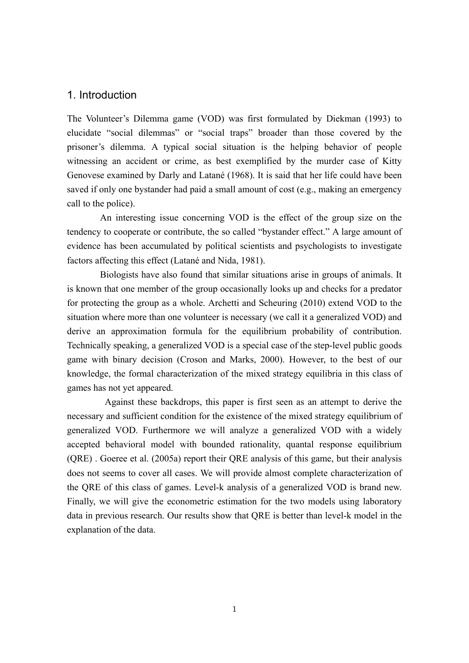## 1. Introduction

The Volunteer's Dilemma game (VOD) was first formulated by Diekman (1993) to elucidate "social dilemmas" or "social traps" broader than those covered by the prisoner's dilemma. A typical social situation is the helping behavior of people witnessing an accident or crime, as best exemplified by the murder case of Kitty Genovese examined by Darly and Latané (1968). It is said that her life could have been saved if only one bystander had paid a small amount of cost (e.g., making an emergency call to the police).

 An interesting issue concerning VOD is the effect of the group size on the tendency to cooperate or contribute, the so called "bystander effect." A large amount of evidence has been accumulated by political scientists and psychologists to investigate factors affecting this effect (Latané and Nida, 1981).

Biologists have also found that similar situations arise in groups of animals. It is known that one member of the group occasionally looks up and checks for a predator for protecting the group as a whole. Archetti and Scheuring (2010) extend VOD to the situation where more than one volunteer is necessary (we call it a generalized VOD) and derive an approximation formula for the equilibrium probability of contribution. Technically speaking, a generalized VOD is a special case of the step-level public goods game with binary decision (Croson and Marks, 2000). However, to the best of our knowledge, the formal characterization of the mixed strategy equilibria in this class of games has not yet appeared.

Against these backdrops, this paper is first seen as an attempt to derive the necessary and sufficient condition for the existence of the mixed strategy equilibrium of generalized VOD. Furthermore we will analyze a generalized VOD with a widely accepted behavioral model with bounded rationality, quantal response equilibrium (QRE) . Goeree et al. (2005a) report their QRE analysis of this game, but their analysis does not seems to cover all cases. We will provide almost complete characterization of the QRE of this class of games. Level-k analysis of a generalized VOD is brand new. Finally, we will give the econometric estimation for the two models using laboratory data in previous research. Our results show that QRE is better than level-k model in the explanation of the data.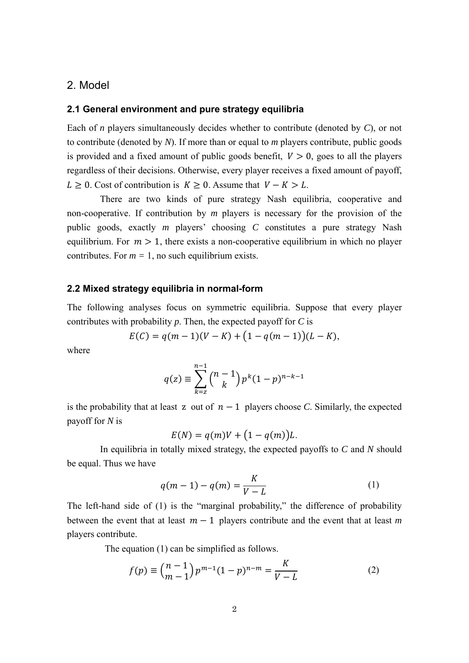## 2. Model

#### **2.1 General environment and pure strategy equilibria**

Each of *n* players simultaneously decides whether to contribute (denoted by *C*), or not to contribute (denoted by *N*). If more than or equal to *m* players contribute, public goods is provided and a fixed amount of public goods benefit,  $V > 0$ , goes to all the players regardless of their decisions. Otherwise, every player receives a fixed amount of payoff,  $L \geq 0$ . Cost of contribution is  $K \geq 0$ . Assume that  $V - K > L$ .

There are two kinds of pure strategy Nash equilibria, cooperative and non-cooperative. If contribution by *m* players is necessary for the provision of the public goods, exactly *m* players' choosing *C* constitutes a pure strategy Nash equilibrium. For  $m > 1$ , there exists a non-cooperative equilibrium in which no player contributes. For  $m = 1$ , no such equilibrium exists.

#### **2.2 Mixed strategy equilibria in normal-form**

The following analyses focus on symmetric equilibria. Suppose that every player contributes with probability *p*. Then, the expected payoff for *C* is

$$
E(C) = q(m-1)(V-K) + (1 - q(m-1))(L-K),
$$

where

$$
q(z) \equiv \sum_{k=z}^{n-1} {n-1 \choose k} p^k (1-p)^{n-k-1}
$$

is the probability that at least z out of  $n-1$  players choose *C*. Similarly, the expected payoff for *N* is

$$
E(N) = q(m)V + (1 - q(m))L.
$$

In equilibria in totally mixed strategy, the expected payoffs to *C* and *N* should be equal. Thus we have

$$
q(m-1) - q(m) = \frac{K}{V - L}
$$
 (1)

The left-hand side of (1) is the "marginal probability," the difference of probability between the event that at least  $m-1$  players contribute and the event that at least *m* players contribute.

The equation (1) can be simplified as follows.

$$
f(p) \equiv {n-1 \choose m-1} p^{m-1} (1-p)^{n-m} = \frac{K}{V-L}
$$
 (2)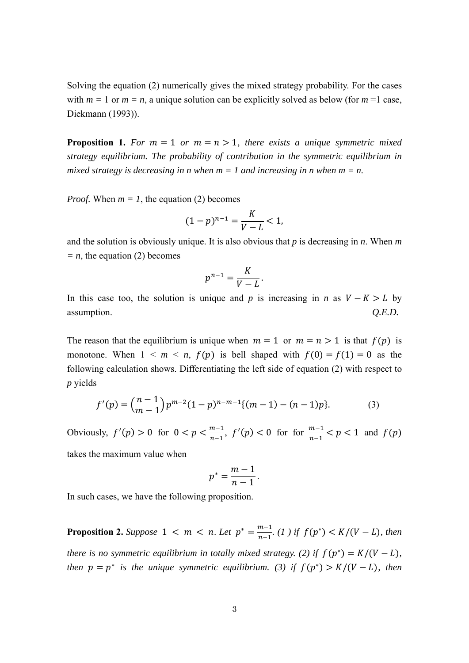Solving the equation (2) numerically gives the mixed strategy probability. For the cases with  $m = 1$  or  $m = n$ , a unique solution can be explicitly solved as below (for  $m = 1$  case, Diekmann (1993)).

**Proposition 1.** For  $m = 1$  or  $m = n > 1$ , there exists a unique symmetric mixed *strategy equilibrium. The probability of contribution in the symmetric equilibrium in mixed strategy is decreasing in n when*  $m = 1$  *and increasing in n when*  $m = n$ *.* 

*Proof.* When  $m = 1$ , the equation (2) becomes

$$
(1-p)^{n-1} = \frac{K}{V - L} < 1,
$$

and the solution is obviously unique. It is also obvious that *p* is decreasing in *n*. When *m*   $= n$ , the equation (2) becomes

$$
p^{n-1} = \frac{K}{V - L}.
$$

In this case too, the solution is unique and *p* is increasing in *n* as  $V - K > L$  by assumption. *Q.E.D.*

The reason that the equilibrium is unique when  $m = 1$  or  $m = n > 1$  is that  $f(p)$  is monotone. When  $1 \leq m \leq n$ ,  $f(p)$  is bell shaped with  $f(0) = f(1) = 0$  as the following calculation shows. Differentiating the left side of equation (2) with respect to *p* yields

$$
f'(p) = {n-1 \choose m-1} p^{m-2} (1-p)^{n-m-1} \{(m-1) - (n-1)p\}.
$$
 (3)

Obviously,  $f'(p) > 0$  for  $0 < p < \frac{m-1}{n-1}$ ,  $f'(p) < 0$  for for  $\frac{m-1}{n-1} < p < 1$  and  $f(p)$ 

takes the maximum value when

$$
p^*=\frac{m-1}{n-1}.
$$

In such cases, we have the following proposition.

**Proposition 2.** *Suppose*  $1 < m < n$ . Let  $p^* = \frac{m-1}{n-1}$ . (1) if  $f(p^*) < K/(V-L)$ , then *there is no symmetric equilibrium in totally mixed strategy. (2) if*  $f(p^*) = K/(V - L)$ , *then*  $p = p^*$  *is the unique symmetric equilibrium.* (3) *if*  $f(p^*) > K/(V - L)$ , *then*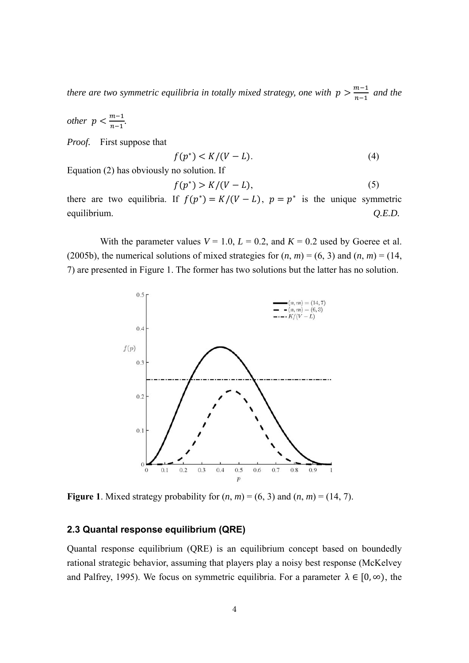*there are two symmetric equilibria in totally mixed strategy, one with*  $p > \frac{m-1}{n-1}$  *and the* 

*other*  $p < \frac{m-1}{n-1}$ .

*Proof.* First suppose that

$$
f(p^*) < K/(V - L). \tag{4}
$$

Equation (2) has obviously no solution. If

$$
f(p^*) > K/(V-L),\tag{5}
$$

there are two equilibria. If  $f(p^*) = K/(V - L)$ ,  $p = p^*$  is the unique symmetric equilibrium. *Q.E.D.*

With the parameter values  $V = 1.0$ ,  $L = 0.2$ , and  $K = 0.2$  used by Goeree et al. (2005b), the numerical solutions of mixed strategies for  $(n, m) = (6, 3)$  and  $(n, m) = (14,$ 7) are presented in Figure 1. The former has two solutions but the latter has no solution.



**Figure 1**. Mixed strategy probability for  $(n, m) = (6, 3)$  and  $(n, m) = (14, 7)$ .

#### **2.3 Quantal response equilibrium (QRE)**

Quantal response equilibrium (QRE) is an equilibrium concept based on boundedly rational strategic behavior, assuming that players play a noisy best response (McKelvey and Palfrey, 1995). We focus on symmetric equilibria. For a parameter  $\lambda \in [0, \infty)$ , the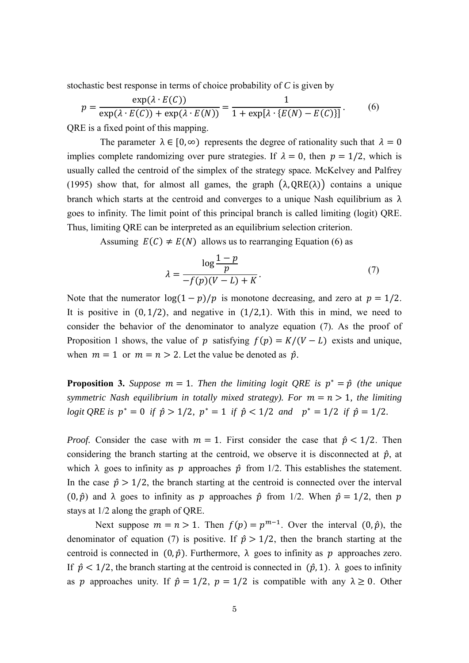stochastic best response in terms of choice probability of *C* is given by

$$
p = \frac{\exp(\lambda \cdot E(C))}{\exp(\lambda \cdot E(C)) + \exp(\lambda \cdot E(N))} = \frac{1}{1 + \exp[\lambda \cdot \{E(N) - E(C)\}]}.
$$
 (6)

QRE is a fixed point of this mapping.

The parameter  $\lambda \in [0, \infty)$  represents the degree of rationality such that  $\lambda = 0$ implies complete randomizing over pure strategies. If  $\lambda = 0$ , then  $p = 1/2$ , which is usually called the centroid of the simplex of the strategy space*.* McKelvey and Palfrey (1995) show that, for almost all games, the graph  $(\lambda, QRE(\lambda))$  contains a unique branch which starts at the centroid and converges to a unique Nash equilibrium as  $\lambda$ goes to infinity. The limit point of this principal branch is called limiting (logit) QRE. Thus, limiting QRE can be interpreted as an equilibrium selection criterion.

Assuming  $E(C) \neq E(N)$  allows us to rearranging Equation (6) as

$$
\lambda = \frac{\log \frac{1-p}{p}}{-f(p)(V-L) + K}.
$$
\n(7)

Note that the numerator  $\log(1-p)/p$  is monotone decreasing, and zero at  $p = 1/2$ . It is positive in  $(0, 1/2)$ , and negative in  $(1/2,1)$ . With this in mind, we need to consider the behavior of the denominator to analyze equation (7). As the proof of Proposition 1 shows, the value of p satisfying  $f(p) = K/(V - L)$  exists and unique, when  $m = 1$  or  $m = n > 2$ . Let the value be denoted as  $\hat{p}$ .

**Proposition 3.** Suppose  $m = 1$ . Then the limiting logit QRE is  $p^* = \hat{p}$  (the unique *symmetric Nash equilibrium in totally mixed strategy). For*  $m = n > 1$ , the limiting *logit QRE is*  $p^* = 0$  *if*  $\hat{p} > 1/2$ ,  $p^* = 1$  *if*  $\hat{p} < 1/2$  *and*  $p^* = 1/2$  *if*  $\hat{p} = 1/2$ *.* 

*Proof.* Consider the case with  $m = 1$ . First consider the case that  $\hat{p} < 1/2$ . Then considering the branch starting at the centroid, we observe it is disconnected at  $\hat{p}$ , at which  $\lambda$  goes to infinity as p approaches  $\hat{p}$  from 1/2. This establishes the statement. In the case  $\hat{p} > 1/2$ , the branch starting at the centroid is connected over the interval (0,  $\hat{p}$ ) and  $\lambda$  goes to infinity as p approaches  $\hat{p}$  from 1/2. When  $\hat{p} = 1/2$ , then p stays at 1/2 along the graph of QRE.

Next suppose  $m = n > 1$ . Then  $f(p) = p^{m-1}$ . Over the interval  $(0, \hat{p})$ , the denominator of equation (7) is positive. If  $\hat{p} > 1/2$ , then the branch starting at the centroid is connected in  $(0, \hat{p})$ . Furthermore,  $\lambda$  goes to infinity as  $p$  approaches zero. If  $\hat{p}$  < 1/2, the branch starting at the centroid is connected in  $(\hat{p}, 1)$ .  $\lambda$  goes to infinity as *p* approaches unity. If  $\hat{p} = 1/2$ ,  $p = 1/2$  is compatible with any  $\lambda \ge 0$ . Other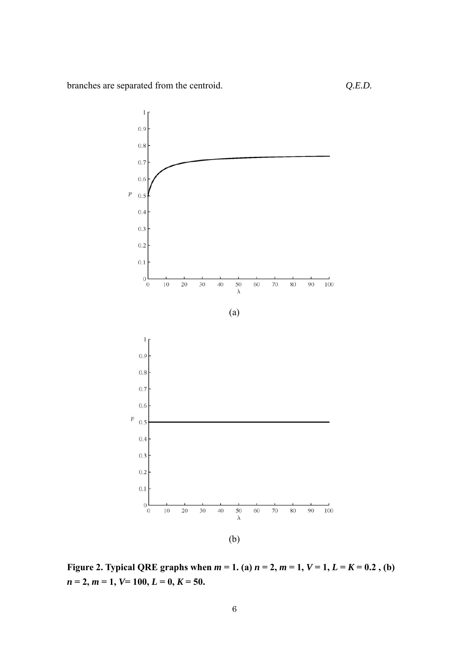

**Figure 2. Typical QRE graphs when**  $m = 1$ **. (a)**  $n = 2$ **,**  $m = 1$ **,**  $V = 1$ **,**  $L = K = 0.2$ **, (b)**  $n = 2, m = 1, V = 100, L = 0, K = 50.$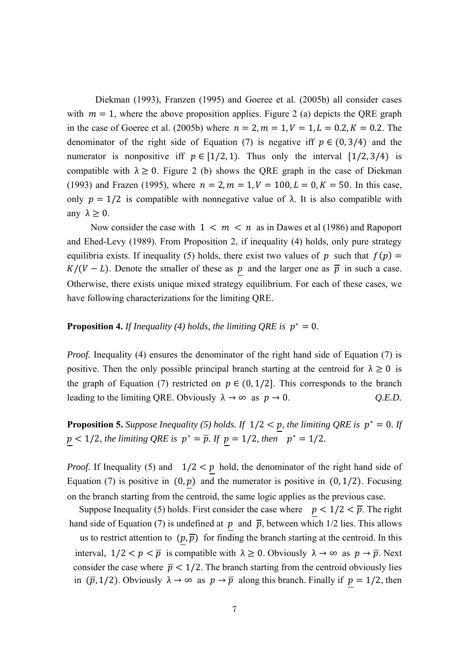Diekman (1993), Franzen (1995) and Goeree et al. (2005b) all consider cases with  $m = 1$ , where the above proposition applies. Figure 2 (a) depicts the QRE graph in the case of Goeree et al. (2005b) where  $n = 2, m = 1, V = 1, L = 0.2, K = 0.2$ . The denominator of the right side of Equation (7) is negative iff  $p \in (0, 3/4)$  and the numerator is nonpositive iff  $p \in [1/2, 1)$ . Thus only the interval  $[1/2, 3/4)$  is compatible with  $\lambda \geq 0$ . Figure 2 (b) shows the QRE graph in the case of Diekman (1993) and Frazen (1995), where  $n = 2, m = 1, V = 100, L = 0, K = 50$ . In this case, only  $p = 1/2$  is compatible with nonnegative value of  $\lambda$ . It is also compatible with any  $\lambda \geq 0$ .

Now consider the case with  $1 \lt m \lt n$  as in Dawes et al (1986) and Rapoport and Ehed-Levy (1989). From Proposition 2, if inequality (4) holds, only pure strategy equilibria exists. If inequality (5) holds, there exist two values of p such that  $f(p)$  =  $K/(V-L)$ . Denote the smaller of these as p and the larger one as  $\bar{p}$  in such a case. Otherwise, there exists unique mixed strategy equilibrium. For each of these cases, we have following characterizations for the limiting QRE.

## **Proposition 4.** *If Inequality (4) holds, the limiting ORE is*  $p^* = 0$ *.*

*Proof.* Inequality (4) ensures the denominator of the right hand side of Equation (7) is positive. Then the only possible principal branch starting at the centroid for  $\lambda \geq 0$  is the graph of Equation (7) restricted on  $p \in (0, 1/2]$ . This corresponds to the branch leading to the limiting QRE. Obviously  $\lambda \to \infty$  as  $p \to 0$ . *Q.E.D.* 

**Proposition 5.** Suppose Inequality (5) holds. If  $1/2 < p$ , the limiting QRE is  $p^* = 0$ . If  $p < 1/2$ *, the limiting QRE is*  $p^* = \overline{p}$ *. If*  $p = 1/2$ *, then*  $p^* = 1/2$ *.* 

*Proof.* If Inequality (5) and  $1/2 < p$  hold, the denominator of the right hand side of Equation (7) is positive in  $(0, p)$  and the numerator is positive in  $(0, 1/2)$ . Focusing on the branch starting from the centroid, the same logic applies as the previous case.

Suppose Inequality (5) holds. First consider the case where  $p < 1/2 < \overline{p}$ . The right hand side of Equation (7) is undefined at  $p$  and  $\overline{p}$ , between which 1/2 lies. This allows

us to restrict attention to  $(p, \overline{p})$  for finding the branch starting at the centroid. In this interval,  $1/2 < p < \overline{p}$  is compatible with  $\lambda \ge 0$ . Obviously  $\lambda \to \infty$  as  $p \to \overline{p}$ . Next consider the case where  $\bar{p}$  < 1/2. The branch starting from the centroid obviously lies in  $(\bar{p}, 1/2)$ . Obviously  $\lambda \to \infty$  as  $p \to \bar{p}$  along this branch. Finally if  $p = 1/2$ , then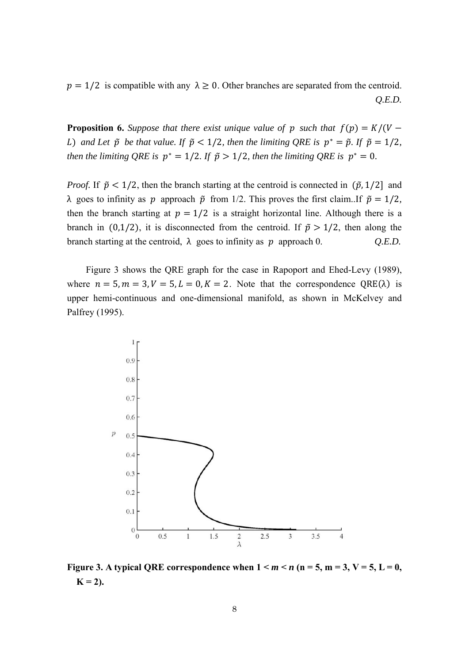$p = 1/2$  is compatible with any  $\lambda \geq 0$ . Other branches are separated from the centroid. *Q.E.D.* 

**Proposition 6.** Suppose that there exist unique value of p such that  $f(p) = K/(V -$ *L*) and Let  $\tilde{p}$  be that value. If  $\tilde{p} < 1/2$ , then the limiting QRE is  $p^* = \tilde{p}$ . If  $\tilde{p} = 1/2$ , *then the limiting QRE is*  $p^* = 1/2$ *. If*  $\tilde{p} > 1/2$ *, then the limiting QRE is*  $p^* = 0$ *.* 

*Proof.* If  $\tilde{p} < 1/2$ , then the branch starting at the centroid is connected in  $(\tilde{p}, 1/2)$  and  $λ$  goes to infinity as *p* approach  $\tilde{p}$  from 1/2. This proves the first claim..If  $\tilde{p} = 1/2$ , then the branch starting at  $p = 1/2$  is a straight horizontal line. Although there is a branch in (0,1/2), it is disconnected from the centroid. If  $\tilde{p} > 1/2$ , then along the branch starting at the centroid,  $\lambda$  goes to infinity as p approach 0.  $Q.E.D.$ 

 Figure 3 shows the QRE graph for the case in Rapoport and Ehed-Levy (1989), where  $n = 5, m = 3, V = 5, L = 0, K = 2$ . Note that the correspondence QRE( $\lambda$ ) is upper hemi-continuous and one-dimensional manifold, as shown in McKelvey and Palfrey (1995).



**Figure 3.** A typical QRE correspondence when  $1 \le m \le n$  ( $n = 5$ ,  $m = 3$ ,  $V = 5$ ,  $L = 0$ ,  $K = 2$ ).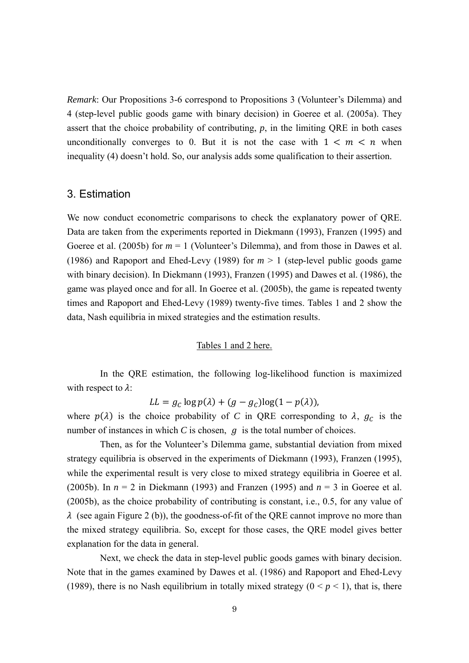*Remark*: Our Propositions 3-6 correspond to Propositions 3 (Volunteer's Dilemma) and 4 (step-level public goods game with binary decision) in Goeree et al. (2005a). They assert that the choice probability of contributing,  $p$ , in the limiting ORE in both cases unconditionally converges to 0. But it is not the case with  $1 \lt m \lt n$  when inequality (4) doesn't hold. So, our analysis adds some qualification to their assertion.

## 3. Estimation

We now conduct econometric comparisons to check the explanatory power of QRE. Data are taken from the experiments reported in Diekmann (1993), Franzen (1995) and Goeree et al. (2005b) for  $m = 1$  (Volunteer's Dilemma), and from those in Dawes et al. (1986) and Rapoport and Ehed-Levy (1989) for  $m > 1$  (step-level public goods game with binary decision). In Diekmann (1993), Franzen (1995) and Dawes et al. (1986), the game was played once and for all. In Goeree et al. (2005b), the game is repeated twenty times and Rapoport and Ehed-Levy (1989) twenty-five times. Tables 1 and 2 show the data, Nash equilibria in mixed strategies and the estimation results.

#### Tables 1 and 2 here.

In the QRE estimation, the following log-likelihood function is maximized with respect to  $\lambda$ :

$$
LL = g_C \log p(\lambda) + (g - g_C) \log(1 - p(\lambda)),
$$

where  $p(\lambda)$  is the choice probability of *C* in QRE corresponding to  $\lambda$ ,  $g_c$  is the number of instances in which  $C$  is chosen,  $q$  is the total number of choices.

Then, as for the Volunteer's Dilemma game, substantial deviation from mixed strategy equilibria is observed in the experiments of Diekmann (1993), Franzen (1995), while the experimental result is very close to mixed strategy equilibria in Goeree et al. (2005b). In  $n = 2$  in Diekmann (1993) and Franzen (1995) and  $n = 3$  in Goeree et al. (2005b), as the choice probability of contributing is constant, i.e., 0.5, for any value of  $\lambda$  (see again Figure 2 (b)), the goodness-of-fit of the ORE cannot improve no more than the mixed strategy equilibria. So, except for those cases, the QRE model gives better explanation for the data in general.

Next, we check the data in step-level public goods games with binary decision. Note that in the games examined by Dawes et al. (1986) and Rapoport and Ehed-Levy (1989), there is no Nash equilibrium in totally mixed strategy  $(0 \le p \le 1)$ , that is, there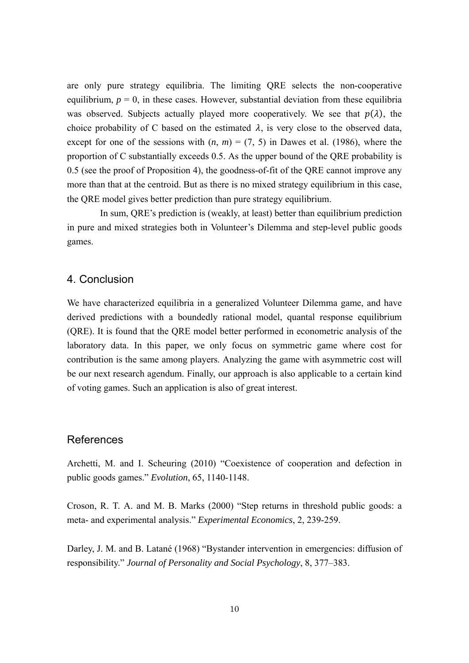are only pure strategy equilibria. The limiting QRE selects the non-cooperative equilibrium,  $p = 0$ , in these cases. However, substantial deviation from these equilibria was observed. Subjects actually played more cooperatively. We see that  $p(\lambda)$ , the choice probability of C based on the estimated  $\lambda$ , is very close to the observed data, except for one of the sessions with  $(n, m) = (7, 5)$  in Dawes et al. (1986), where the proportion of C substantially exceeds 0.5. As the upper bound of the QRE probability is 0.5 (see the proof of Proposition 4), the goodness-of-fit of the QRE cannot improve any more than that at the centroid. But as there is no mixed strategy equilibrium in this case, the QRE model gives better prediction than pure strategy equilibrium.

In sum, QRE's prediction is (weakly, at least) better than equilibrium prediction in pure and mixed strategies both in Volunteer's Dilemma and step-level public goods games.

#### 4. Conclusion

We have characterized equilibria in a generalized Volunteer Dilemma game, and have derived predictions with a boundedly rational model, quantal response equilibrium (QRE). It is found that the QRE model better performed in econometric analysis of the laboratory data. In this paper, we only focus on symmetric game where cost for contribution is the same among players. Analyzing the game with asymmetric cost will be our next research agendum. Finally, our approach is also applicable to a certain kind of voting games. Such an application is also of great interest.

## References

Archetti, M. and I. Scheuring (2010) "Coexistence of cooperation and defection in public goods games." *Evolution*, 65, 1140-1148.

Croson, R. T. A. and M. B. Marks (2000) "Step returns in threshold public goods: a meta- and experimental analysis." *Experimental Economics*, 2, 239-259.

Darley, J. M. and B. Latané (1968) "Bystander intervention in emergencies: diffusion of responsibility." *Journal of Personality and Social Psychology*, 8, 377–383.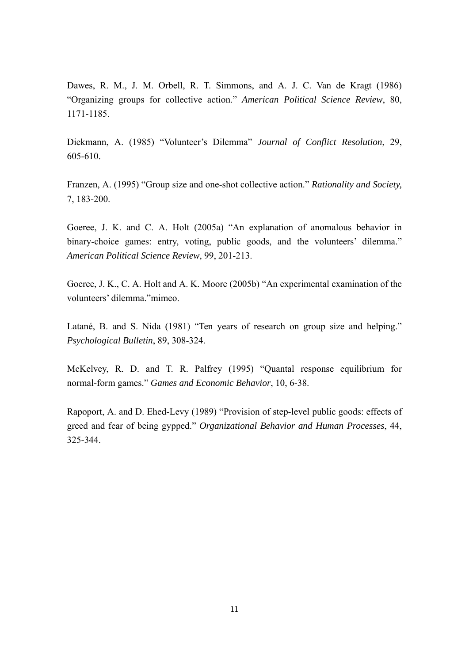Dawes, R. M., J. M. Orbell, R. T. Simmons, and A. J. C. Van de Kragt (1986) "Organizing groups for collective action." *American Political Science Review*, 80, 1171-1185.

Diekmann, A. (1985) "Volunteer's Dilemma" *Journal of Conflict Resolution*, 29, 605-610.

Franzen, A. (1995) "Group size and one-shot collective action." *Rationality and Society,* 7, 183-200.

Goeree, J. K. and C. A. Holt (2005a) "An explanation of anomalous behavior in binary-choice games: entry, voting, public goods, and the volunteers' dilemma." *American Political Science Review*, 99, 201-213.

Goeree, J. K., C. A. Holt and A. K. Moore (2005b) "An experimental examination of the volunteers' dilemma."mimeo.

Latané, B. and S. Nida (1981) "Ten years of research on group size and helping." *Psychological Bulletin*, 89, 308-324.

McKelvey, R. D. and T. R. Palfrey (1995) "Quantal response equilibrium for normal-form games." *Games and Economic Behavior*, 10, 6-38.

Rapoport, A. and D. Ehed-Levy (1989) "Provision of step-level public goods: effects of greed and fear of being gypped." *Organizational Behavior and Human Processes*, 44, 325-344.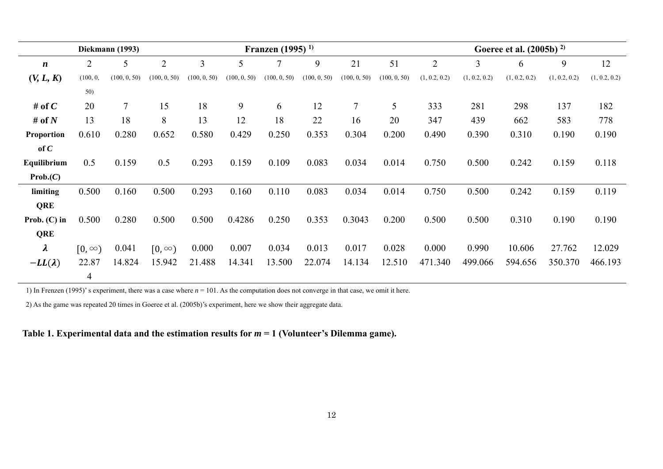|                        |               | Diekmann (1993) |                |              |              | Franzen (1995) <sup>1)</sup> |              |              |              |                |                | Goeree et al. $(2005b)$ <sup>2)</sup> |               |               |
|------------------------|---------------|-----------------|----------------|--------------|--------------|------------------------------|--------------|--------------|--------------|----------------|----------------|---------------------------------------|---------------|---------------|
| $\boldsymbol{n}$       | 2             | 5               | $\overline{2}$ | 3            | 5            | 7                            | 9            | 21           | 51           | $\overline{2}$ | $\overline{3}$ | 6                                     | 9             | 12            |
| (V, L, K)              |               | (100, 0, 50)    | (100, 0, 50)   | (100, 0, 50) | (100, 0, 50) | (100, 0, 50)                 | (100, 0, 50) | (100, 0, 50) | (100, 0, 50) | (1, 0.2, 0.2)  | (1, 0.2, 0.2)  | (1, 0.2, 0.2)                         | (1, 0.2, 0.2) | (1, 0.2, 0.2) |
|                        | 50)           |                 |                |              |              |                              |              |              |              |                |                |                                       |               |               |
| # of $C$               | 20            | $\tau$          | 15             | 18           | 9            | 6                            | 12           | 7            | 5            | 333            | 281            | 298                                   | 137           | 182           |
| # of $N$               | 13            | 18              | 8              | 13           | 12           | 18                           | 22           | 16           | 20           | 347            | 439            | 662                                   | 583           | 778           |
| Proportion             | 0.610         | 0.280           | 0.652          | 0.580        | 0.429        | 0.250                        | 0.353        | 0.304        | 0.200        | 0.490          | 0.390          | 0.310                                 | 0.190         | 0.190         |
| of $C$                 |               |                 |                |              |              |                              |              |              |              |                |                |                                       |               |               |
| Equilibrium            | 0.5           | 0.159           | 0.5            | 0.293        | 0.159        | 0.109                        | 0.083        | 0.034        | 0.014        | 0.750          | 0.500          | 0.242                                 | 0.159         | 0.118         |
| Prob.(C)               |               |                 |                |              |              |                              |              |              |              |                |                |                                       |               |               |
| limiting               | 0.500         | 0.160           | 0.500          | 0.293        | 0.160        | 0.110                        | 0.083        | 0.034        | 0.014        | 0.750          | 0.500          | 0.242                                 | 0.159         | 0.119         |
| <b>QRE</b>             |               |                 |                |              |              |                              |              |              |              |                |                |                                       |               |               |
| Prob. $(C)$ in         | 0.500         | 0.280           | 0.500          | 0.500        | 0.4286       | 0.250                        | 0.353        | 0.3043       | 0.200        | 0.500          | 0.500          | 0.310                                 | 0.190         | 0.190         |
| QRE                    |               |                 |                |              |              |                              |              |              |              |                |                |                                       |               |               |
| $\boldsymbol{\lambda}$ | $[0, \infty)$ | 0.041           | $[0, \infty)$  | 0.000        | 0.007        | 0.034                        | 0.013        | 0.017        | 0.028        | 0.000          | 0.990          | 10.606                                | 27.762        | 12.029        |
| $-LL(\lambda)$         | 22.87         | 14.824          | 15.942         | 21.488       | 14.341       | 13.500                       | 22.074       | 14.134       | 12.510       | 471.340        | 499.066        | 594.656                               | 350.370       | 466.193       |
|                        | 4             |                 |                |              |              |                              |              |              |              |                |                |                                       |               |               |

1) In Frenzen (1995)' s experiment, there was a case where *<sup>n</sup>* = 101. As the computation does not converge in that case, we omit it here.

2) As the game was repeated 20 times in Goeree et al. (2005b)'s experiment, here we show their aggregate data.

#### **Table 1. Experimental data and the estimation results for** *<sup>m</sup>* **= 1 (Volunteer's Dilemma game).**